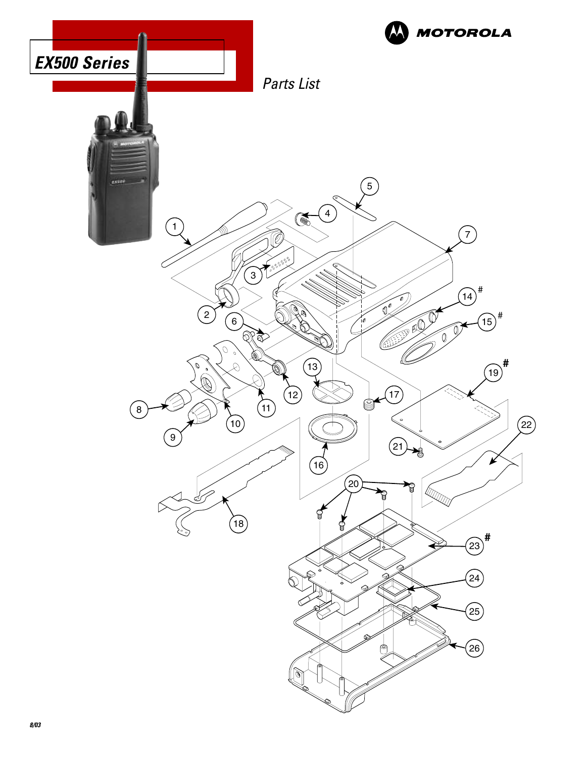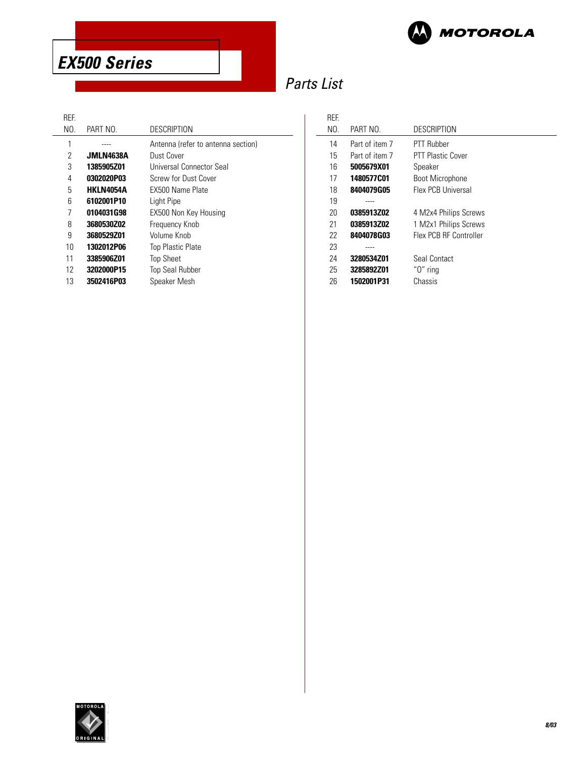

**EX500 Series**

# Parts List

 $\overline{\phantom{a}}$ 

# REF.<br>No.

| NO. | PART NO.         | DESCRIPTION                        |
|-----|------------------|------------------------------------|
| 1   |                  | Antenna (refer to antenna section) |
| 2   | <b>JMLN4638A</b> | Dust Cover                         |
| 3   | 1385905Z01       | Universal Connector Seal           |
| 4   | 0302020P03       | Screw for Dust Cover               |
| 5   | <b>HKLN4054A</b> | <b>FX500 Name Plate</b>            |
| 6   | 6102001P10       | Light Pipe                         |
| 7   | 0104031G98       | EX500 Non Key Housing              |
| 8   | 3680530Z02       | Frequency Knob                     |
| 9   | 3680529Z01       | Volume Knob                        |
| 10  | 1302012P06       | <b>Top Plastic Plate</b>           |
| 11  | 3385906Z01       | <b>Top Sheet</b>                   |
| 12  | 3202000P15       | <b>Top Seal Rubber</b>             |
| 13  | 3502416P03       | Speaker Mesh                       |

| <b>RFF</b> |                |                          |
|------------|----------------|--------------------------|
| NO.        | PART NO.       | <b>DESCRIPTION</b>       |
| 14         | Part of item 7 | PTT Rubber               |
| 15         | Part of item 7 | <b>PTT Plastic Cover</b> |
| 16         | 5005679X01     | Speaker                  |
| 17         | 1480577C01     | <b>Boot Microphone</b>   |
| 18         | 8404079G05     | Flex PCB Universal       |
| 19         |                |                          |
| 20         | 0385913Z02     | 4 M2x4 Philips Screws    |
| 21         | 0385913Z02     | 1 M2x1 Philips Screws    |
| 22         | 8404078G03     | Flex PCB RF Controller   |
| 23         |                |                          |
| 24         | 3280534Z01     | Seal Contact             |
| 25         | 3285892Z01     | " $0$ " ring             |
| 26         | 1502001P31     | Chassis                  |

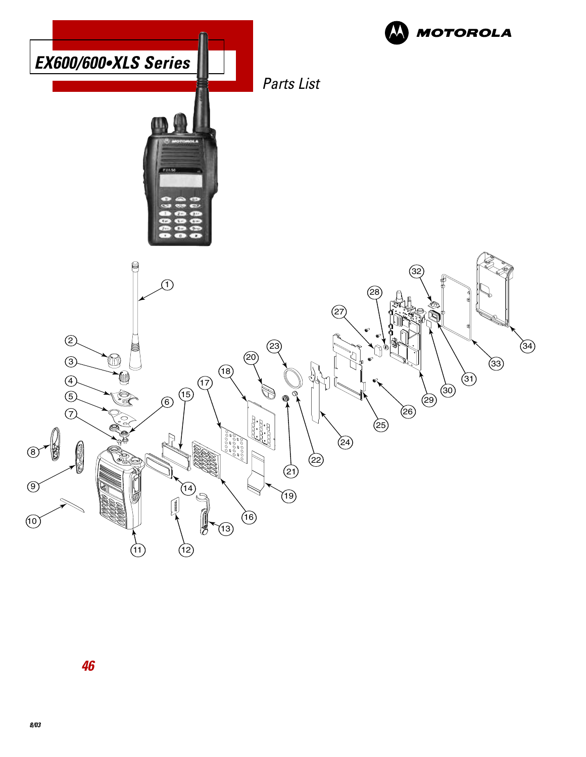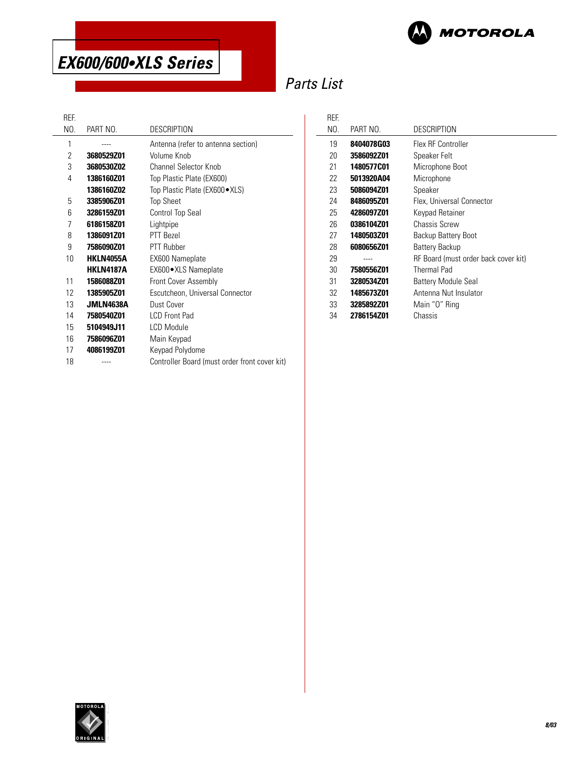

# Parts List

 $\overline{a}$ 

#### REF.

 $\overline{a}$ 

| NO. | PART NO.         | <b>DESCRIPTION</b>                            |
|-----|------------------|-----------------------------------------------|
| 1   |                  | Antenna (refer to antenna section)            |
| 2   | 3680529Z01       | Volume Knob                                   |
| 3   | 3680530Z02       | Channel Selector Knob                         |
| 4   | 1386160Z01       | Top Plastic Plate (EX600)                     |
|     | 1386160Z02       | Top Plastic Plate (EX600 • XLS)               |
| 5   | 3385906Z01       | <b>Top Sheet</b>                              |
| 6   | 3286159Z01       | <b>Control Top Seal</b>                       |
| 7   | 6186158Z01       | Lightpipe                                     |
| 8   | 1386091Z01       | PTT Bezel                                     |
| 9   | 7586090Z01       | PTT Rubber                                    |
| 10  | <b>HKLN4055A</b> | EX600 Nameplate                               |
|     | <b>HKLN4187A</b> | EX600 · XLS Nameplate                         |
| 11  | 1586088Z01       | Front Cover Assembly                          |
| 12  | 1385905Z01       | Escutcheon, Universal Connector               |
| 13  | JMLN4638A        | Dust Cover                                    |
| 14  | 7580540Z01       | <b>LCD Front Pad</b>                          |
| 15  | 5104949J11       | <b>LCD Module</b>                             |
| 16  | 7586096Z01       | Main Keypad                                   |
| 17  | 4086199Z01       | Keypad Polydome                               |
| 18  |                  | Controller Board (must order front cover kit) |
|     |                  |                                               |

| REF. |            |                                      |
|------|------------|--------------------------------------|
| NO.  | PART NO.   | DESCRIPTION                          |
| 19   | 8404078G03 | Flex RF Controller                   |
| 20   | 3586092Z01 | Speaker Felt                         |
| 21   | 1480577C01 | Microphone Boot                      |
| 22   | 5013920A04 | Microphone                           |
| 23   | 5086094Z01 | Speaker                              |
| 24   | 8486095Z01 | Flex, Universal Connector            |
| 25   | 4286097Z01 | Keypad Retainer                      |
| 26   | 0386104Z01 | Chassis Screw                        |
| 27   | 1480503Z01 | Backup Battery Boot                  |
| 28   | 6080656Z01 | Battery Backup                       |
| 29   |            | RF Board (must order back cover kit) |
| 30   | 7580556Z01 | <b>Thermal Pad</b>                   |
| 31   | 3280534Z01 | <b>Battery Module Seal</b>           |
| 32   | 1485673Z01 | Antenna Nut Insulator                |
| 33   | 3285892Z01 | Main "0" Ring                        |
| 34   | 2786154Z01 | Chassis                              |

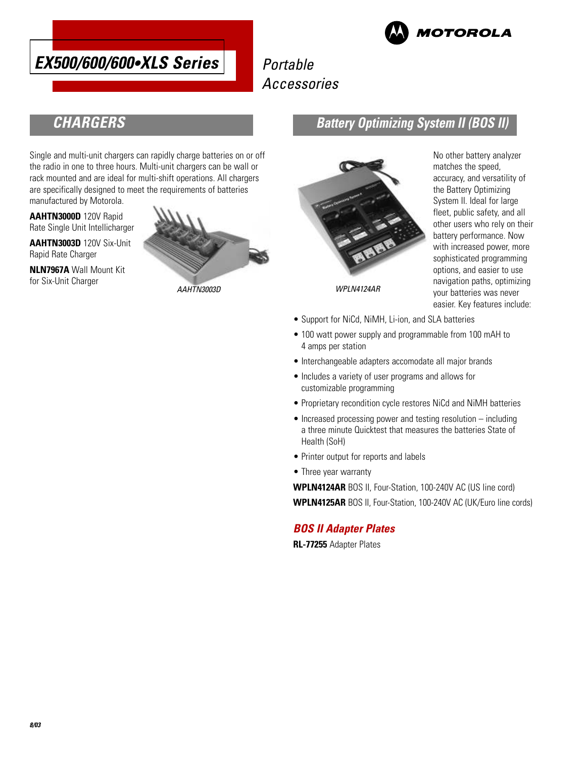

# Portable Accessories



### **CHARGERS**

Single and multi-unit chargers can rapidly charge batteries on or off the radio in one to three hours. Multi-unit chargers can be wall or rack mounted and are ideal for multi-shift operations. All chargers are specifically designed to meet the requirements of batteries manufactured by Motorola.

**AAHTN3000D** 120V Rapid Rate Single Unit Intellicharger

**AAHTN3003D** 120V Six-Unit Rapid Rate Charger

**NLN7967A** Wall Mount Kit for Six-Unit Charger



### **Battery Optimizing System II (BOS II)**



accuracy, and versatility of the Battery Optimizing System II. Ideal for large fleet, public safety, and all other users who rely on their battery performance. Now with increased power, more sophisticated programming options, and easier to use navigation paths, optimizing your batteries was never easier. Key features include:

No other battery analyzer matches the speed,

- Support for NiCd, NiMH, Li-ion, and SLA batteries
- 100 watt power supply and programmable from 100 mAH to 4 amps per station
- Interchangeable adapters accomodate all major brands
- Includes a variety of user programs and allows for customizable programming
- Proprietary recondition cycle restores NiCd and NiMH batteries
- Increased processing power and testing resolution including a three minute Quicktest that measures the batteries State of Health (SoH)
- Printer output for reports and labels
- Three year warranty

**WPLN4124AR** BOS II, Four-Station, 100-240V AC (US line cord) **WPLN4125AR** BOS II, Four-Station, 100-240V AC (UK/Euro line cords)

### **BOS II Adapter Plates**

**RL-77255** Adapter Plates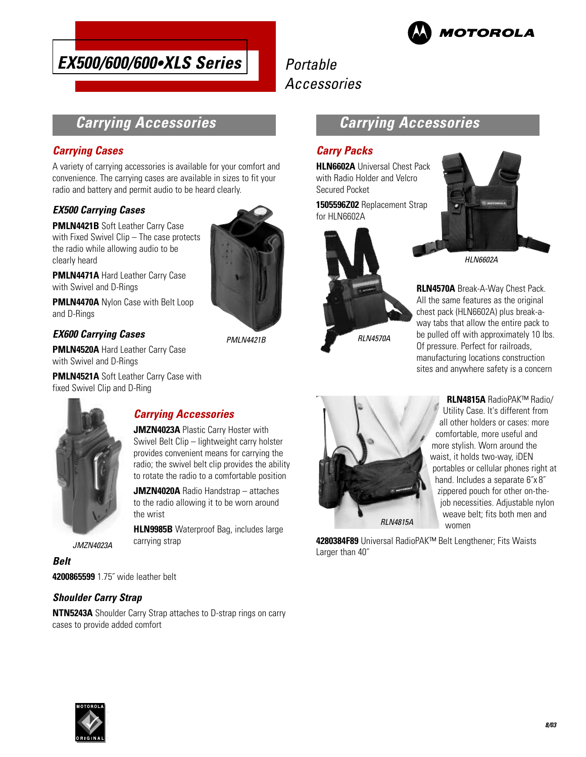

# Portable Accessories

### **Carrying Accessories**

### **Carrying Cases**

A variety of carrying accessories is available for your comfort and convenience. The carrying cases are available in sizes to fit your radio and battery and permit audio to be heard clearly.

### **EX500 Carrying Cases**

**PMLN4421B** Soft Leather Carry Case with Fixed Swivel Clip - The case protects the radio while allowing audio to be clearly heard

**PMLN4471A** Hard Leather Carry Case with Swivel and D-Rings

**PMLN4470A** Nylon Case with Belt Loop and D-Rings

#### **EX600 Carrying Cases**

**PMLN4520A** Hard Leather Carry Case with Swivel and D-Rings

**PMLN4521A** Soft Leather Carry Case with fixed Swivel Clip and D-Ring



### **Carrying Accessories**

**JMZN4023A** Plastic Carry Hoster with Swivel Belt Clip – lightweight carry holster provides convenient means for carrying the radio; the swivel belt clip provides the ability to rotate the radio to a comfortable position

**JMZN4020A** Radio Handstrap – attaches to the radio allowing it to be worn around the wrist

**HLN9985B** Waterproof Bag, includes large carrying strap

JMZN4023A

**Belt 4200865599** 1.75˝ wide leather belt

### **Shoulder Carry Strap**

**NTN5243A** Shoulder Carry Strap attaches to D-strap rings on carry cases to provide added comfort



PMLN4421B

### **Carrying Accessories**

### **Carry Packs**

**HLN6602A** Universal Chest Pack with Radio Holder and Velcro Secured Pocket

**1505596Z02** Replacement Strap for HLN6602A





HLN6602A

**RLN4570A** Break-A-Way Chest Pack. All the same features as the original chest pack (HLN6602A) plus break-away tabs that allow the entire pack to be pulled off with approximately 10 lbs. Of pressure. Perfect for railroads, manufacturing locations construction sites and anywhere safety is a concern



**RLN4815A** RadioPAK™ Radio/ Utility Case. It's different from all other holders or cases: more comfortable, more useful and more stylish. Worn around the waist, it holds two-way, iDEN portables or cellular phones right at hand. Includes a separate 6˝x 8˝ zippered pouch for other on-thejob necessities. Adjustable nylon weave belt; fits both men and women

**4280384F89** Universal RadioPAK™ Belt Lengthener; Fits Waists Larger than 40˝

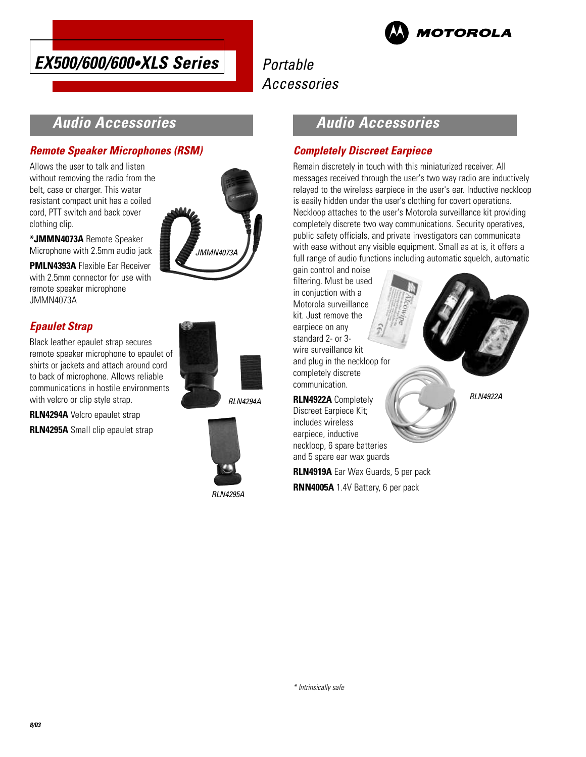



# Portable Accessories

### **Audio Accessories**

### **Remote Speaker Microphones (RSM)**

Allows the user to talk and listen without removing the radio from the belt, case or charger. This water resistant compact unit has a coiled cord, PTT switch and back cover clothing clip.

**\*JMMN4073A** Remote Speaker Microphone with 2.5mm audio jack

**PMLN4393A** Flexible Ear Receiver with 2.5mm connector for use with remote speaker microphone JMMN4073A

### **Epaulet Strap**

Black leather epaulet strap secures remote speaker microphone to epaulet of shirts or jackets and attach around cord to back of microphone. Allows reliable communications in hostile environments with velcro or clip style strap.

**RLN4294A** Velcro epaulet strap

**RLN4295A** Small clip epaulet strap





RLN4294A



RLN4295A

### **Audio Accessories**

#### **Completely Discreet Earpiece**

Remain discretely in touch with this miniaturized receiver. All messages received through the user's two way radio are inductively relayed to the wireless earpiece in the user's ear. Inductive neckloop is easily hidden under the user's clothing for covert operations. Neckloop attaches to the user's Motorola surveillance kit providing completely discrete two way communications. Security operatives, public safety officials, and private investigators can communicate with ease without any visible equipment. Small as at is, it offers a full range of audio functions including automatic squelch, automatic

gain control and noise filtering. Must be used in conjuction with a Motorola surveillance kit. Just remove the earpiece on any standard 2- or 3 wire surveillance kit and plug in the neckloop for completely discrete communication.

**RLN4922A** Completely Discreet Earpiece Kit; includes wireless earpiece, inductive neckloop, 6 spare batteries and 5 spare ear wax guards

\* Intrinsically safe

**RLN4919A** Ear Wax Guards, 5 per pack

**RNN4005A** 1.4V Battery, 6 per pack

RLN4922A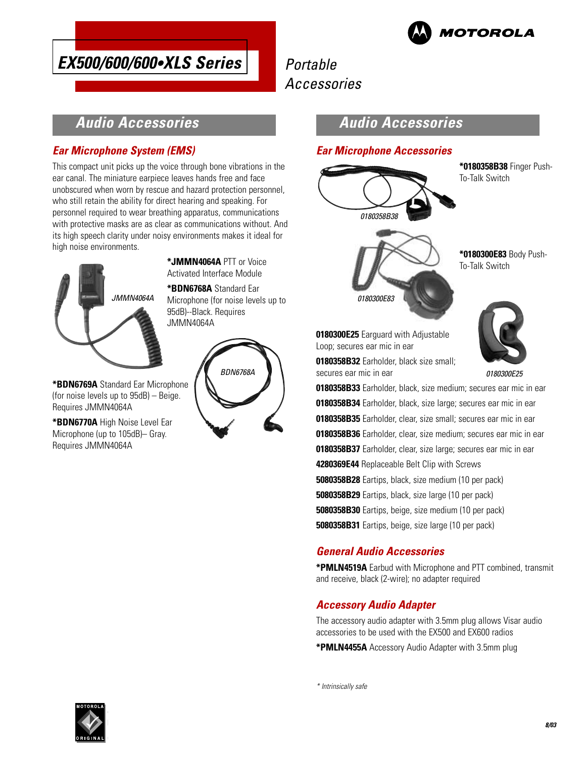

# Portable Accessories

### **Audio Accessories**

### **Ear Microphone System (EMS)**

This compact unit picks up the voice through bone vibrations in the ear canal. The miniature earpiece leaves hands free and face unobscured when worn by rescue and hazard protection personnel, who still retain the ability for direct hearing and speaking. For personnel required to wear breathing apparatus, communications with protective masks are as clear as communications without. And its high speech clarity under noisy environments makes it ideal for high noise environments.



**\*JMMN4064A** PTT or Voice Activated Interface Module

**\*BDN6768A** Standard Ear Microphone (for noise levels up to 95dB)--Black. Requires JMMN4064A

**\*BDN6769A** Standard Ear Microphone (for noise levels up to 95dB) – Beige. Requires JMMN4064A

**\*BDN6770A** High Noise Level Ear Microphone (up to 105dB)– Gray. Requires JMMN4064A



### **Audio Accessories**

#### **Ear Microphone Accessories**



**\*0180358B38** Finger Push-To-Talk Switch





**\*0180300E83** Body Push-

To-Talk Switch

**0180300E25** Earguard with Adjustable Loop; secures ear mic in ear

**0180358B32** Earholder, black size small; secures ear mic in ear

0180300E25

**0180358B33** Earholder, black, size medium; secures ear mic in ear **0180358B34** Earholder, black, size large; secures ear mic in ear **0180358B35** Earholder, clear, size small; secures ear mic in ear **0180358B36** Earholder, clear, size medium; secures ear mic in ear **0180358B37** Earholder, clear, size large; secures ear mic in ear **4280369E44** Replaceable Belt Clip with Screws **5080358B28** Eartips, black, size medium (10 per pack) **5080358B29** Eartips, black, size large (10 per pack) **5080358B30** Eartips, beige, size medium (10 per pack)

**5080358B31** Eartips, beige, size large (10 per pack)

### **General Audio Accessories**

**\*PMLN4519A** Earbud with Microphone and PTT combined, transmit and receive, black (2-wire); no adapter required

### **Accessory Audio Adapter**

The accessory audio adapter with 3.5mm plug allows Visar audio accessories to be used with the EX500 and EX600 radios

**\*PMLN4455A** Accessory Audio Adapter with 3.5mm plug

\* Intrinsically safe

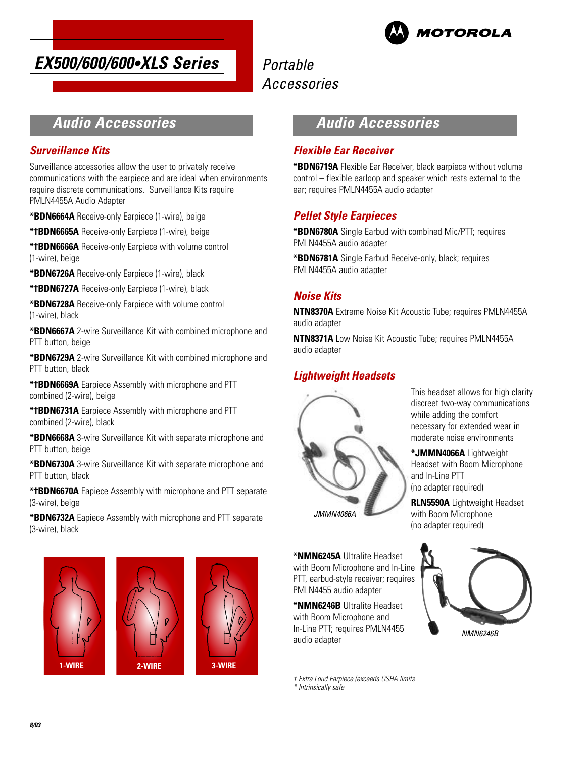



# Portable Accessories

### **Audio Accessories**

#### **Surveillance Kits**

Surveillance accessories allow the user to privately receive communications with the earpiece and are ideal when environments require discrete communications. Surveillance Kits require PMLN4455A Audio Adapter

**\*BDN6664A** Receive-only Earpiece (1-wire), beige

**\*†BDN6665A** Receive-only Earpiece (1-wire), beige

**\*†BDN6666A** Receive-only Earpiece with volume control (1-wire), beige

**\*BDN6726A** Receive-only Earpiece (1-wire), black

**\*†BDN6727A** Receive-only Earpiece (1-wire), black

**\*BDN6728A** Receive-only Earpiece with volume control (1-wire), black

**\*BDN6667A** 2-wire Surveillance Kit with combined microphone and PTT button, beige

**\*BDN6729A** 2-wire Surveillance Kit with combined microphone and PTT button, black

**\*†BDN6669A** Earpiece Assembly with microphone and PTT combined (2-wire), beige

**\*†BDN6731A** Earpiece Assembly with microphone and PTT combined (2-wire), black

**\*BDN6668A** 3-wire Surveillance Kit with separate microphone and PTT button, beige

**\*BDN6730A** 3-wire Surveillance Kit with separate microphone and PTT button, black

**\*†BDN6670A** Eapiece Assembly with microphone and PTT separate (3-wire), beige

**\*BDN6732A** Eapiece Assembly with microphone and PTT separate (3-wire), black







### **Audio Accessories**

#### **Flexible Ear Receiver**

**\*BDN6719A** Flexible Ear Receiver, black earpiece without volume control – flexible earloop and speaker which rests external to the ear; requires PMLN4455A audio adapter

### **Pellet Style Earpieces**

**\*BDN6780A** Single Earbud with combined Mic/PTT; requires PMLN4455A audio adapter

**\*BDN6781A** Single Earbud Receive-only, black; requires PMLN4455A audio adapter

### **Noise Kits**

**NTN8370A** Extreme Noise Kit Acoustic Tube; requires PMLN4455A audio adapter

**NTN8371A** Low Noise Kit Acoustic Tube: requires PMLN4455A audio adapter

#### **Lightweight Headsets**



This headset allows for high clarity discreet two-way communications while adding the comfort necessary for extended wear in moderate noise environments

**\*JMMN4066A** Lightweight Headset with Boom Microphone and In-Line PTT (no adapter required)

**RLN5590A** Lightweight Headset with Boom Microphone (no adapter required)

**\*NMN6245A** Ultralite Headset with Boom Microphone and In-Line PTT, earbud-style receiver; requires PMLN4455 audio adapter

**\*NMN6246B** Ultralite Headset with Boom Microphone and In-Line PTT; requires PMLN4455 audio adapter

† Extra Loud Earpiece (exceeds OSHA limits \* Intrinsically safe

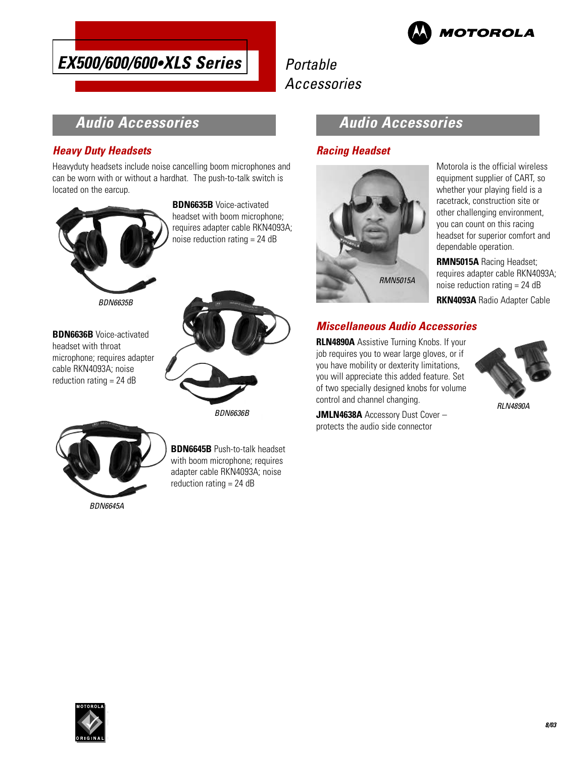

# Portable Accessories

### **Audio Accessories**

### **Heavy Duty Headsets**

Heavyduty headsets include noise cancelling boom microphones and can be worn with or without a hardhat. The push-to-talk switch is located on the earcup.



**BDN6635B** Voice-activated headset with boom microphone; requires adapter cable RKN4093A; noise reduction rating = 24 dB



**BDN6636B** Voice-activated headset with throat microphone; requires adapter cable RKN4093A; noise reduction rating  $= 24$  dB



**BDN6645B** Push-to-talk headset with boom microphone; requires adapter cable RKN4093A; noise reduction rating = 24 dB

### **Audio Accessories**

### **Racing Headset**



Motorola is the official wireless equipment supplier of CART, so whether your playing field is a racetrack, construction site or other challenging environment, you can count on this racing headset for superior comfort and dependable operation.

**RMN5015A** Racing Headset; requires adapter cable RKN4093A; noise reduction rating = 24 dB

**RKN4093A** Radio Adapter Cable

### **Miscellaneous Audio Accessories**

**RLN4890A** Assistive Turning Knobs. If your job requires you to wear large gloves, or if you have mobility or dexterity limitations, you will appreciate this added feature. Set of two specially designed knobs for volume control and channel changing.

**JMLN4638A** Accessory Dust Cover – protects the audio side connector



RLN4890A

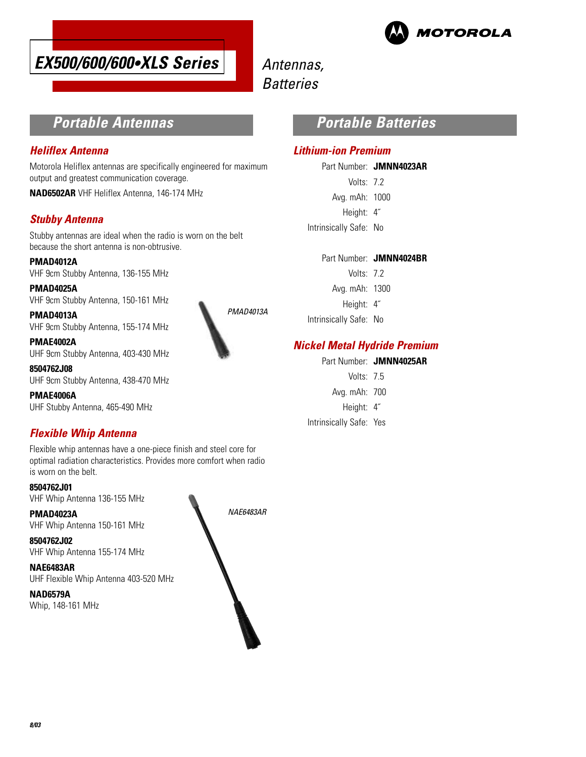



# Antennas, **Batteries**

### **Portable Antennas**

#### **Heliflex Antenna**

Motorola Heliflex antennas are specifically engineered for maximum output and greatest communication coverage.

**NAD6502AR** VHF Heliflex Antenna, 146-174 MHz

#### **Stubby Antenna**

Stubby antennas are ideal when the radio is worn on the belt because the short antenna is non-obtrusive.

**PMAD4012A** VHF 9cm Stubby Antenna, 136-155 MHz

**PMAD4025A** VHF 9cm Stubby Antenna, 150-161 MHz

**PMAD4013A** VHF 9cm Stubby Antenna, 155-174 MHz

**PMAE4002A** UHF 9cm Stubby Antenna, 403-430 MHz

**8504762J08** UHF 9cm Stubby Antenna, 438-470 MHz

**PMAE4006A** UHF Stubby Antenna, 465-490 MHz

### **Flexible Whip Antenna**

Flexible whip antennas have a one-piece finish and steel core for optimal radiation characteristics. Provides more comfort when radio is worn on the belt.

**8504762J01** VHF Whip Antenna 136-155 MHz

**PMAD4023A** VHF Whip Antenna 150-161 MHz

**8504762J02** VHF Whip Antenna 155-174 MHz

**NAE6483AR** UHF Flexible Whip Antenna 403-520 MHz

**NAD6579A** Whip, 148-161 MHz



PMAD4013A

### **Portable Batteries**

#### **Lithium-ion Premium**

Part Number: **JMNN4023AR** Volts: 7.2 Avg. mAh: 1000 Height: 4˝

Intrinsically Safe: No

- Volts: 7.2 Avg. mAh: 1300 Height: 4˝
- Intrinsically Safe: No

### **Nickel Metal Hydride Premium**

Part Number: **JMNN4025AR**

- Volts: 75
- Avg. mAh: 700
- Height: 4˝
- Intrinsically Safe: Yes